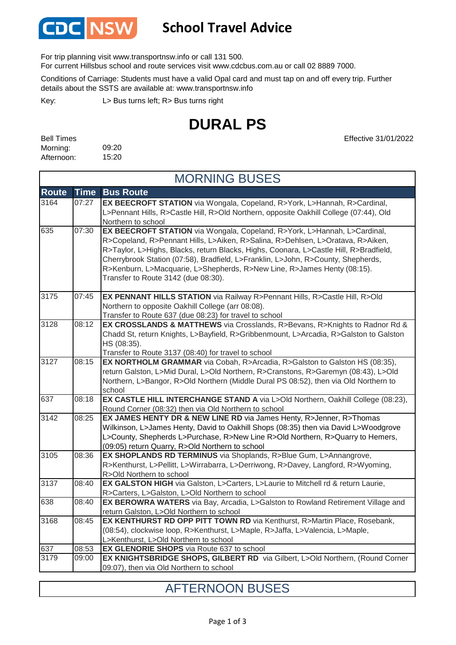

## **School Travel Advice**

For trip planning visit www.transportnsw.info or call 131 500.

For current Hillsbus school and route services visit www.cdcbus.com.au or call 02 8889 7000.

Conditions of Carriage: Students must have a valid Opal card and must tap on and off every trip. Further details about the SSTS are available at: www.transportnsw.info

L> Bus turns left; R> Bus turns right Key:

## **DURAL PS**

09:20 15:20 Bell Times Morning: Afternoon:

Effective 31/01/2022

| <b>MORNING BUSES</b> |             |                                                                                                                                                                                                                                                                                                                                                                                                                                                           |  |  |
|----------------------|-------------|-----------------------------------------------------------------------------------------------------------------------------------------------------------------------------------------------------------------------------------------------------------------------------------------------------------------------------------------------------------------------------------------------------------------------------------------------------------|--|--|
| <b>Route</b>         | <b>Time</b> | <b>Bus Route</b>                                                                                                                                                                                                                                                                                                                                                                                                                                          |  |  |
| 3164                 | 07:27       | EX BEECROFT STATION via Wongala, Copeland, R>York, L>Hannah, R>Cardinal,<br>L>Pennant Hills, R>Castle Hill, R>Old Northern, opposite Oakhill College (07:44), Old<br>Northern to school                                                                                                                                                                                                                                                                   |  |  |
| 635                  | 07:30       | EX BEECROFT STATION via Wongala, Copeland, R>York, L>Hannah, L>Cardinal,<br>R>Copeland, R>Pennant Hills, L>Aiken, R>Salina, R>Dehlsen, L>Oratava, R>Aiken,<br>R>Taylor, L>Highs, Blacks, return Blacks, Highs, Coonara, L>Castle Hill, R>Bradfield,<br>Cherrybrook Station (07:58), Bradfield, L>Franklin, L>John, R>County, Shepherds,<br>R>Kenburn, L>Macquarie, L>Shepherds, R>New Line, R>James Henty (08:15).<br>Transfer to Route 3142 (due 08:30). |  |  |
| 3175                 | 07:45       | EX PENNANT HILLS STATION via Railway R>Pennant Hills, R>Castle Hill, R>Old<br>Northern to opposite Oakhill College (arr 08:08).<br>Transfer to Route 637 (due 08:23) for travel to school                                                                                                                                                                                                                                                                 |  |  |
| 3128                 | 08:12       | EX CROSSLANDS & MATTHEWS via Crosslands, R>Bevans, R>Knights to Radnor Rd &<br>Chadd St, return Knights, L>Bayfield, R>Gribbenmount, L>Arcadia, R>Galston to Galston<br>HS (08:35).<br>Transfer to Route 3137 (08:40) for travel to school                                                                                                                                                                                                                |  |  |
| 3127                 | 08:15       | EX NORTHOLM GRAMMAR via Cobah, R>Arcadia, R>Galston to Galston HS (08:35),<br>return Galston, L>Mid Dural, L>Old Northern, R>Cranstons, R>Garemyn (08:43), L>Old<br>Northern, L>Bangor, R>Old Northern (Middle Dural PS 08:52), then via Old Northern to<br>school                                                                                                                                                                                        |  |  |
| 637                  | 08:18       | EX CASTLE HILL INTERCHANGE STAND A via L>Old Northern, Oakhill College (08:23),<br>Round Corner (08:32) then via Old Northern to school                                                                                                                                                                                                                                                                                                                   |  |  |
| 3142                 | 08:25       | EX JAMES HENTY DR & NEW LINE RD via James Henty, R>Jenner, R>Thomas<br>Wilkinson, L>James Henty, David to Oakhill Shops (08:35) then via David L>Woodgrove<br>L>County, Shepherds L>Purchase, R>New Line R>Old Northern, R>Quarry to Hemers,<br>(09:05) return Quarry, R>Old Northern to school                                                                                                                                                           |  |  |
| 3105                 | 08:36       | EX SHOPLANDS RD TERMINUS via Shoplands, R>Blue Gum, L>Annangrove,<br>R>Kenthurst, L>Pellitt, L>Wirrabarra, L>Derriwong, R>Davey, Langford, R>Wyoming,<br>R>Old Northern to school                                                                                                                                                                                                                                                                         |  |  |
| 3137                 | 08:40       | EX GALSTON HIGH via Galston, L>Carters, L>Laurie to Mitchell rd & return Laurie,<br>R>Carters, L>Galston, L>Old Northern to school                                                                                                                                                                                                                                                                                                                        |  |  |
| 638                  | 08:40       | EX BEROWRA WATERS via Bay, Arcadia, L>Galston to Rowland Retirement Village and<br>return Galston, L>Old Northern to school                                                                                                                                                                                                                                                                                                                               |  |  |
| 3168                 | 08:45       | EX KENTHURST RD OPP PITT TOWN RD via Kenthurst, R>Martin Place, Rosebank,<br>(08:54), clockwise loop, R>Kenthurst, L>Maple, R>Jaffa, L>Valencia, L>Maple,<br>L>Kenthurst, L>Old Northern to school                                                                                                                                                                                                                                                        |  |  |
| 637                  | 08:53       | EX GLENORIE SHOPS via Route 637 to school                                                                                                                                                                                                                                                                                                                                                                                                                 |  |  |
| 3179                 | 09:00       | EX KNIGHTSBRIDGE SHOPS, GILBERT RD via Gilbert, L>Old Northern, (Round Corner<br>09:07), then via Old Northern to school                                                                                                                                                                                                                                                                                                                                  |  |  |

## AFTERNOON BUSES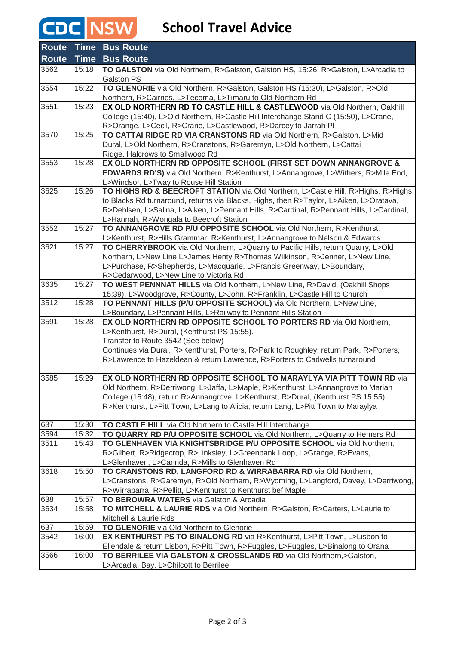## CDC NSW

**School Travel Advice**

| <b>Route</b> | <b>Time</b> | <b>Bus Route</b>                                                                                                                      |
|--------------|-------------|---------------------------------------------------------------------------------------------------------------------------------------|
| <b>Route</b> | <b>Time</b> | <b>Bus Route</b>                                                                                                                      |
| 3562         | 15:18       | TO GALSTON via Old Northern, R>Galston, Galston HS, 15:26, R>Galston, L>Arcadia to                                                    |
|              |             | Galston PS                                                                                                                            |
| 3554         | 15:22       | TO GLENORIE via Old Northern, R>Galston, Galston HS (15:30), L>Galston, R>Old                                                         |
|              |             | Northern, R>Cairnes, L>Tecoma, L>Timaru to Old Northern Rd                                                                            |
| 3551         | 15:23       | EX OLD NORTHERN RD TO CASTLE HILL & CASTLEWOOD via Old Northern, Oakhill                                                              |
|              |             | College (15:40), L>Old Northern, R>Castle Hill Interchange Stand C (15:50), L>Crane,                                                  |
|              |             | R>Orange, L>Cecil, R>Crane, L>Castlewood, R>Darcey to Jarrah Pl                                                                       |
| 3570         | 15:25       | TO CATTAI RIDGE RD VIA CRANSTONS RD via Old Northern, R>Galston, L>Mid                                                                |
|              |             | Dural, L>Old Northern, R>Cranstons, R>Garemyn, L>Old Northern, L>Cattai                                                               |
|              |             | Ridge, Halcrows to Smallwood Rd                                                                                                       |
| 3553         | 15:28       | EX OLD NORTHERN RD OPPOSITE SCHOOL (FIRST SET DOWN ANNANGROVE &                                                                       |
|              |             | EDWARDS RD'S) via Old Northern, R>Kenthurst, L>Annangrove, L>Withers, R>Mile End,                                                     |
|              |             | L>Windsor, L>Tway to Rouse Hill Station                                                                                               |
| 3625         | 15:26       | TO HIGHS RD & BEECROFT STATION via Old Northern, L>Castle Hill, R>Highs, R>Highs                                                      |
|              |             | to Blacks Rd turnaround, returns via Blacks, Highs, then R>Taylor, L>Aiken, L>Oratava,                                                |
|              |             | R>Dehlsen, L>Salina, L>Aiken, L>Pennant Hills, R>Cardinal, R>Pennant Hills, L>Cardinal,                                               |
|              |             | L>Hannah, R>Wongala to Beecroft Station                                                                                               |
| 3552         | 15:27       | TO ANNANGROVE RD P/U OPPOSITE SCHOOL via Old Northern, R>Kenthurst,                                                                   |
|              |             | L>Kenthurst, R>Hills Grammar, R>Kenthurst, L>Annangrove to Nelson & Edwards                                                           |
| 3621         | 15:27       | TO CHERRYBROOK via Old Northern, L>Quarry to Pacific Hills, return Quarry, L>Old                                                      |
|              |             | Northern, L>New Line L>James Henty R>Thomas Wilkinson, R>Jenner, L>New Line,                                                          |
|              |             | L>Purchase, R>Shepherds, L>Macquarie, L>Francis Greenway, L>Boundary,                                                                 |
|              |             | R>Cedarwood, L>New Line to Victoria Rd                                                                                                |
| 3635         | 15:27       | TO WEST PENNNAT HILLS via Old Northern, L>New Line, R>David, (Oakhill Shops                                                           |
|              |             | 15:39), L>Woodgrove, R>County, L>John, R>Franklin, L>Castle Hill to Church                                                            |
| 3512         | 15:28       | TO PENNANT HILLS (P/U OPPOSITE SCHOOL) via Old Northern, L>New Line,                                                                  |
| 3591         | 15:28       | L>Boundary, L>Pennant Hills, L>Railway to Pennant Hills Station<br>EX OLD NORTHERN RD OPPOSITE SCHOOL TO PORTERS RD via Old Northern, |
|              |             | L>Kenthurst, R>Dural, (Kenthurst PS 15:55).                                                                                           |
|              |             | Transfer to Route 3542 (See below)                                                                                                    |
|              |             | Continues via Dural, R>Kenthurst, Porters, R>Park to Roughley, return Park, R>Porters,                                                |
|              |             | R>Lawrence to Hazeldean & return Lawrence, R>Porters to Cadwells turnaround                                                           |
|              |             |                                                                                                                                       |
| 3585         | 15:29       | EX OLD NORTHERN RD OPPOSITE SCHOOL TO MARAYLYA VIA PITT TOWN RD via                                                                   |
|              |             | Old Northern, R>Derriwong, L>Jaffa, L>Maple, R>Kenthurst, L>Annangrove to Marian                                                      |
|              |             | College (15:48), return R>Annangrove, L>Kenthurst, R>Dural, (Kenthurst PS 15:55),                                                     |
|              |             | R>Kenthurst, L>Pitt Town, L>Lang to Alicia, return Lang, L>Pitt Town to Maraylya                                                      |
|              |             |                                                                                                                                       |
| 637          | 15:30       | TO CASTLE HILL via Old Northern to Castle Hill Interchange                                                                            |
| 3594         | 15:32       | TO QUARRY RD P/U OPPOSITE SCHOOL via Old Northern, L>Quarry to Hemers Rd                                                              |
| 3511         | 15:43       | TO GLENHAVEN VIA KNIGHTSBRIDGE P/U OPPOSITE SCHOOL via Old Northern,                                                                  |
|              |             | R>Gilbert, R>Ridgecrop, R>Linksley, L>Greenbank Loop, L>Grange, R>Evans,                                                              |
|              |             | L>Glenhaven, L>Carinda, R>Mills to Glenhaven Rd                                                                                       |
| 3618         | 15:50       | TO CRANSTONS RD, LANGFORD RD & WIRRABARRA RD via Old Northern,                                                                        |
|              |             | L>Cranstons, R>Garemyn, R>Old Northern, R>Wyoming, L>Langford, Davey, L>Derriwong,                                                    |
|              |             | R>Wirrabarra, R>Pellitt, L>Kenthurst to Kenthurst bef Maple                                                                           |
| 638          | 15:57       | TO BEROWRA WATERS via Galston & Arcadia                                                                                               |
| 3634         | 15:58       | TO MITCHELL & LAURIE RDS via Old Northern, R>Galston, R>Carters, L>Laurie to                                                          |
|              |             | Mitchell & Laurie Rds                                                                                                                 |
| 637          | 15:59       | TO GLENORIE via Old Northern to Glenorie                                                                                              |
| 3542         | 16:00       | EX KENTHURST PS TO BINALONG RD via R>Kenthurst, L>Pitt Town, L>Lisbon to                                                              |
|              |             | Ellendale & return Lisbon, R>Pitt Town, R>Fuggles, L>Fuggles, L>Binalong to Orana                                                     |
| 3566         | 16:00       | TO BERRILEE VIA GALSTON & CROSSLANDS RD via Old Northern,>Galston,                                                                    |
|              |             | L>Arcadia, Bay, L>Chilcott to Berrilee                                                                                                |